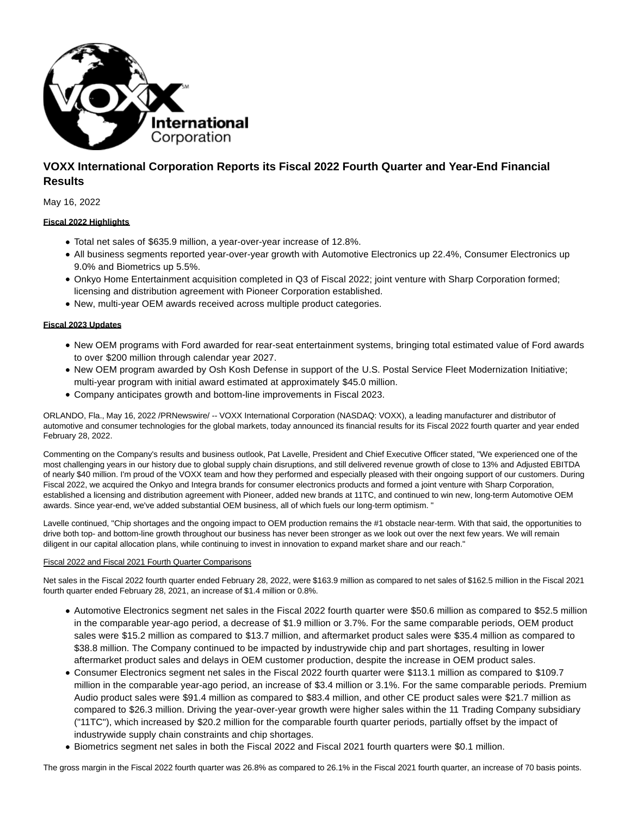

# **VOXX International Corporation Reports its Fiscal 2022 Fourth Quarter and Year-End Financial Results**

May 16, 2022

# **Fiscal 2022 Highlights**

- Total net sales of \$635.9 million, a year-over-year increase of 12.8%.
- All business segments reported year-over-year growth with Automotive Electronics up 22.4%, Consumer Electronics up 9.0% and Biometrics up 5.5%.
- Onkyo Home Entertainment acquisition completed in Q3 of Fiscal 2022; joint venture with Sharp Corporation formed; licensing and distribution agreement with Pioneer Corporation established.
- New, multi-year OEM awards received across multiple product categories.

# **Fiscal 2023 Updates**

- New OEM programs with Ford awarded for rear-seat entertainment systems, bringing total estimated value of Ford awards to over \$200 million through calendar year 2027.
- New OEM program awarded by Osh Kosh Defense in support of the U.S. Postal Service Fleet Modernization Initiative; multi-year program with initial award estimated at approximately \$45.0 million.
- Company anticipates growth and bottom-line improvements in Fiscal 2023.

ORLANDO, Fla., May 16, 2022 /PRNewswire/ -- VOXX International Corporation (NASDAQ: VOXX), a leading manufacturer and distributor of automotive and consumer technologies for the global markets, today announced its financial results for its Fiscal 2022 fourth quarter and year ended February 28, 2022.

Commenting on the Company's results and business outlook, Pat Lavelle, President and Chief Executive Officer stated, "We experienced one of the most challenging years in our history due to global supply chain disruptions, and still delivered revenue growth of close to 13% and Adjusted EBITDA of nearly \$40 million. I'm proud of the VOXX team and how they performed and especially pleased with their ongoing support of our customers. During Fiscal 2022, we acquired the Onkyo and Integra brands for consumer electronics products and formed a joint venture with Sharp Corporation, established a licensing and distribution agreement with Pioneer, added new brands at 11TC, and continued to win new, long-term Automotive OEM awards. Since year-end, we've added substantial OEM business, all of which fuels our long-term optimism. "

Lavelle continued, "Chip shortages and the ongoing impact to OEM production remains the #1 obstacle near-term. With that said, the opportunities to drive both top- and bottom-line growth throughout our business has never been stronger as we look out over the next few years. We will remain diligent in our capital allocation plans, while continuing to invest in innovation to expand market share and our reach."

## Fiscal 2022 and Fiscal 2021 Fourth Quarter Comparisons

Net sales in the Fiscal 2022 fourth quarter ended February 28, 2022, were \$163.9 million as compared to net sales of \$162.5 million in the Fiscal 2021 fourth quarter ended February 28, 2021, an increase of \$1.4 million or 0.8%.

- Automotive Electronics segment net sales in the Fiscal 2022 fourth quarter were \$50.6 million as compared to \$52.5 million in the comparable year-ago period, a decrease of \$1.9 million or 3.7%. For the same comparable periods, OEM product sales were \$15.2 million as compared to \$13.7 million, and aftermarket product sales were \$35.4 million as compared to \$38.8 million. The Company continued to be impacted by industrywide chip and part shortages, resulting in lower aftermarket product sales and delays in OEM customer production, despite the increase in OEM product sales.
- Consumer Electronics segment net sales in the Fiscal 2022 fourth quarter were \$113.1 million as compared to \$109.7 million in the comparable year-ago period, an increase of \$3.4 million or 3.1%. For the same comparable periods. Premium Audio product sales were \$91.4 million as compared to \$83.4 million, and other CE product sales were \$21.7 million as compared to \$26.3 million. Driving the year-over-year growth were higher sales within the 11 Trading Company subsidiary ("11TC"), which increased by \$20.2 million for the comparable fourth quarter periods, partially offset by the impact of industrywide supply chain constraints and chip shortages.
- Biometrics segment net sales in both the Fiscal 2022 and Fiscal 2021 fourth quarters were \$0.1 million.

The gross margin in the Fiscal 2022 fourth quarter was 26.8% as compared to 26.1% in the Fiscal 2021 fourth quarter, an increase of 70 basis points.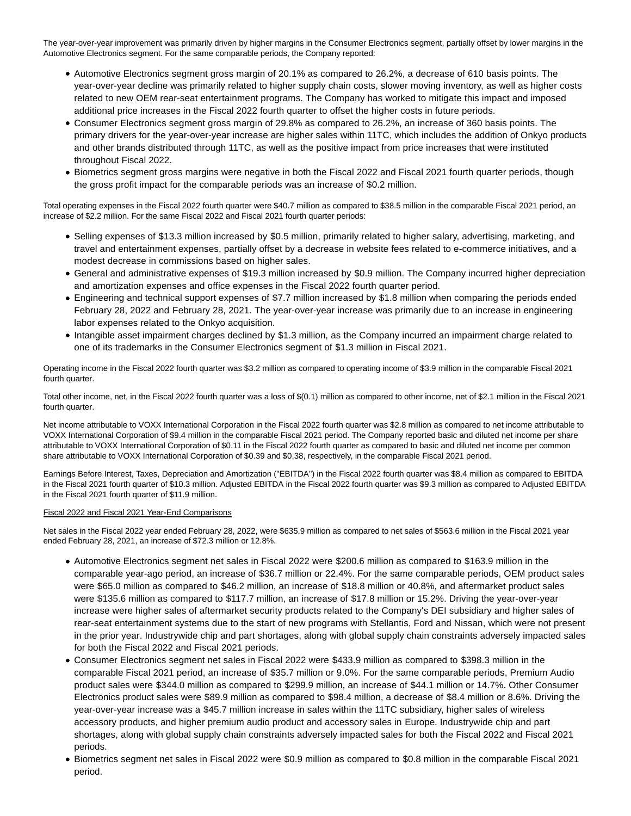The year-over-year improvement was primarily driven by higher margins in the Consumer Electronics segment, partially offset by lower margins in the Automotive Electronics segment. For the same comparable periods, the Company reported:

- Automotive Electronics segment gross margin of 20.1% as compared to 26.2%, a decrease of 610 basis points. The year-over-year decline was primarily related to higher supply chain costs, slower moving inventory, as well as higher costs related to new OEM rear-seat entertainment programs. The Company has worked to mitigate this impact and imposed additional price increases in the Fiscal 2022 fourth quarter to offset the higher costs in future periods.
- Consumer Electronics segment gross margin of 29.8% as compared to 26.2%, an increase of 360 basis points. The primary drivers for the year-over-year increase are higher sales within 11TC, which includes the addition of Onkyo products and other brands distributed through 11TC, as well as the positive impact from price increases that were instituted throughout Fiscal 2022.
- Biometrics segment gross margins were negative in both the Fiscal 2022 and Fiscal 2021 fourth quarter periods, though the gross profit impact for the comparable periods was an increase of \$0.2 million.

Total operating expenses in the Fiscal 2022 fourth quarter were \$40.7 million as compared to \$38.5 million in the comparable Fiscal 2021 period, an increase of \$2.2 million. For the same Fiscal 2022 and Fiscal 2021 fourth quarter periods:

- Selling expenses of \$13.3 million increased by \$0.5 million, primarily related to higher salary, advertising, marketing, and travel and entertainment expenses, partially offset by a decrease in website fees related to e-commerce initiatives, and a modest decrease in commissions based on higher sales.
- General and administrative expenses of \$19.3 million increased by \$0.9 million. The Company incurred higher depreciation and amortization expenses and office expenses in the Fiscal 2022 fourth quarter period.
- Engineering and technical support expenses of \$7.7 million increased by \$1.8 million when comparing the periods ended February 28, 2022 and February 28, 2021. The year-over-year increase was primarily due to an increase in engineering labor expenses related to the Onkyo acquisition.
- Intangible asset impairment charges declined by \$1.3 million, as the Company incurred an impairment charge related to one of its trademarks in the Consumer Electronics segment of \$1.3 million in Fiscal 2021.

Operating income in the Fiscal 2022 fourth quarter was \$3.2 million as compared to operating income of \$3.9 million in the comparable Fiscal 2021 fourth quarter.

Total other income, net, in the Fiscal 2022 fourth quarter was a loss of \$(0.1) million as compared to other income, net of \$2.1 million in the Fiscal 2021 fourth quarter.

Net income attributable to VOXX International Corporation in the Fiscal 2022 fourth quarter was \$2.8 million as compared to net income attributable to VOXX International Corporation of \$9.4 million in the comparable Fiscal 2021 period. The Company reported basic and diluted net income per share attributable to VOXX International Corporation of \$0.11 in the Fiscal 2022 fourth quarter as compared to basic and diluted net income per common share attributable to VOXX International Corporation of \$0.39 and \$0.38, respectively, in the comparable Fiscal 2021 period.

Earnings Before Interest, Taxes, Depreciation and Amortization ("EBITDA") in the Fiscal 2022 fourth quarter was \$8.4 million as compared to EBITDA in the Fiscal 2021 fourth quarter of \$10.3 million. Adjusted EBITDA in the Fiscal 2022 fourth quarter was \$9.3 million as compared to Adjusted EBITDA in the Fiscal 2021 fourth quarter of \$11.9 million.

## Fiscal 2022 and Fiscal 2021 Year-End Comparisons

Net sales in the Fiscal 2022 year ended February 28, 2022, were \$635.9 million as compared to net sales of \$563.6 million in the Fiscal 2021 year ended February 28, 2021, an increase of \$72.3 million or 12.8%.

- Automotive Electronics segment net sales in Fiscal 2022 were \$200.6 million as compared to \$163.9 million in the comparable year-ago period, an increase of \$36.7 million or 22.4%. For the same comparable periods, OEM product sales were \$65.0 million as compared to \$46.2 million, an increase of \$18.8 million or 40.8%, and aftermarket product sales were \$135.6 million as compared to \$117.7 million, an increase of \$17.8 million or 15.2%. Driving the year-over-year increase were higher sales of aftermarket security products related to the Company's DEI subsidiary and higher sales of rear-seat entertainment systems due to the start of new programs with Stellantis, Ford and Nissan, which were not present in the prior year. Industrywide chip and part shortages, along with global supply chain constraints adversely impacted sales for both the Fiscal 2022 and Fiscal 2021 periods.
- Consumer Electronics segment net sales in Fiscal 2022 were \$433.9 million as compared to \$398.3 million in the comparable Fiscal 2021 period, an increase of \$35.7 million or 9.0%. For the same comparable periods, Premium Audio product sales were \$344.0 million as compared to \$299.9 million, an increase of \$44.1 million or 14.7%. Other Consumer Electronics product sales were \$89.9 million as compared to \$98.4 million, a decrease of \$8.4 million or 8.6%. Driving the year-over-year increase was a \$45.7 million increase in sales within the 11TC subsidiary, higher sales of wireless accessory products, and higher premium audio product and accessory sales in Europe. Industrywide chip and part shortages, along with global supply chain constraints adversely impacted sales for both the Fiscal 2022 and Fiscal 2021 periods.
- Biometrics segment net sales in Fiscal 2022 were \$0.9 million as compared to \$0.8 million in the comparable Fiscal 2021 period.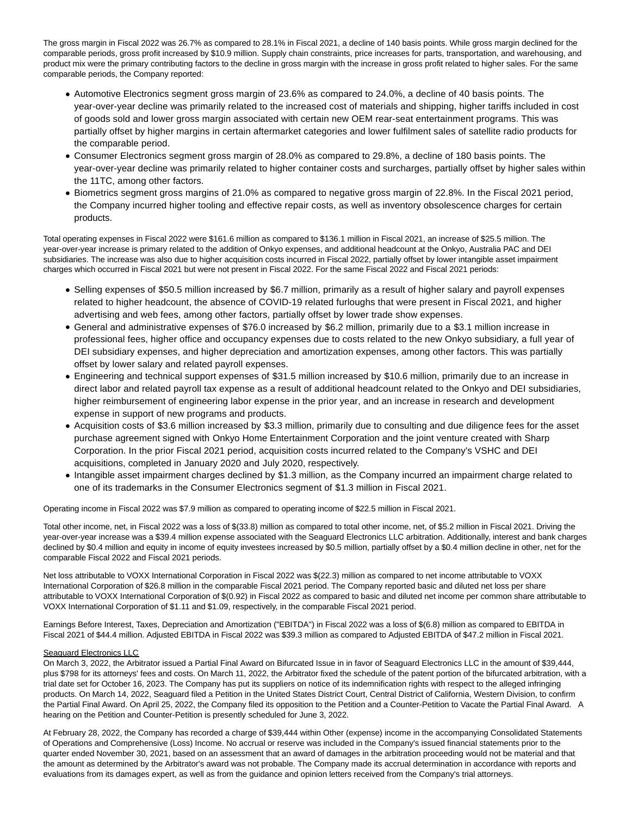The gross margin in Fiscal 2022 was 26.7% as compared to 28.1% in Fiscal 2021, a decline of 140 basis points. While gross margin declined for the comparable periods, gross profit increased by \$10.9 million. Supply chain constraints, price increases for parts, transportation, and warehousing, and product mix were the primary contributing factors to the decline in gross margin with the increase in gross profit related to higher sales. For the same comparable periods, the Company reported:

- Automotive Electronics segment gross margin of 23.6% as compared to 24.0%, a decline of 40 basis points. The year-over-year decline was primarily related to the increased cost of materials and shipping, higher tariffs included in cost of goods sold and lower gross margin associated with certain new OEM rear-seat entertainment programs. This was partially offset by higher margins in certain aftermarket categories and lower fulfilment sales of satellite radio products for the comparable period.
- Consumer Electronics segment gross margin of 28.0% as compared to 29.8%, a decline of 180 basis points. The year-over-year decline was primarily related to higher container costs and surcharges, partially offset by higher sales within the 11TC, among other factors.
- Biometrics segment gross margins of 21.0% as compared to negative gross margin of 22.8%. In the Fiscal 2021 period, the Company incurred higher tooling and effective repair costs, as well as inventory obsolescence charges for certain products.

Total operating expenses in Fiscal 2022 were \$161.6 million as compared to \$136.1 million in Fiscal 2021, an increase of \$25.5 million. The year-over-year increase is primary related to the addition of Onkyo expenses, and additional headcount at the Onkyo, Australia PAC and DEI subsidiaries. The increase was also due to higher acquisition costs incurred in Fiscal 2022, partially offset by lower intangible asset impairment charges which occurred in Fiscal 2021 but were not present in Fiscal 2022. For the same Fiscal 2022 and Fiscal 2021 periods:

- Selling expenses of \$50.5 million increased by \$6.7 million, primarily as a result of higher salary and payroll expenses related to higher headcount, the absence of COVID-19 related furloughs that were present in Fiscal 2021, and higher advertising and web fees, among other factors, partially offset by lower trade show expenses.
- General and administrative expenses of \$76.0 increased by \$6.2 million, primarily due to a \$3.1 million increase in professional fees, higher office and occupancy expenses due to costs related to the new Onkyo subsidiary, a full year of DEI subsidiary expenses, and higher depreciation and amortization expenses, among other factors. This was partially offset by lower salary and related payroll expenses.
- Engineering and technical support expenses of \$31.5 million increased by \$10.6 million, primarily due to an increase in direct labor and related payroll tax expense as a result of additional headcount related to the Onkyo and DEI subsidiaries, higher reimbursement of engineering labor expense in the prior year, and an increase in research and development expense in support of new programs and products.
- Acquisition costs of \$3.6 million increased by \$3.3 million, primarily due to consulting and due diligence fees for the asset purchase agreement signed with Onkyo Home Entertainment Corporation and the joint venture created with Sharp Corporation. In the prior Fiscal 2021 period, acquisition costs incurred related to the Company's VSHC and DEI acquisitions, completed in January 2020 and July 2020, respectively.
- Intangible asset impairment charges declined by \$1.3 million, as the Company incurred an impairment charge related to one of its trademarks in the Consumer Electronics segment of \$1.3 million in Fiscal 2021.

Operating income in Fiscal 2022 was \$7.9 million as compared to operating income of \$22.5 million in Fiscal 2021.

Total other income, net, in Fiscal 2022 was a loss of \$(33.8) million as compared to total other income, net, of \$5.2 million in Fiscal 2021. Driving the year-over-year increase was a \$39.4 million expense associated with the Seaguard Electronics LLC arbitration. Additionally, interest and bank charges declined by \$0.4 million and equity in income of equity investees increased by \$0.5 million, partially offset by a \$0.4 million decline in other, net for the comparable Fiscal 2022 and Fiscal 2021 periods.

Net loss attributable to VOXX International Corporation in Fiscal 2022 was \$(22.3) million as compared to net income attributable to VOXX International Corporation of \$26.8 million in the comparable Fiscal 2021 period. The Company reported basic and diluted net loss per share attributable to VOXX International Corporation of \$(0.92) in Fiscal 2022 as compared to basic and diluted net income per common share attributable to VOXX International Corporation of \$1.11 and \$1.09, respectively, in the comparable Fiscal 2021 period.

Earnings Before Interest, Taxes, Depreciation and Amortization ("EBITDA") in Fiscal 2022 was a loss of \$(6.8) million as compared to EBITDA in Fiscal 2021 of \$44.4 million. Adjusted EBITDA in Fiscal 2022 was \$39.3 million as compared to Adjusted EBITDA of \$47.2 million in Fiscal 2021.

## Seaguard Electronics LLC

On March 3, 2022, the Arbitrator issued a Partial Final Award on Bifurcated Issue in in favor of Seaguard Electronics LLC in the amount of \$39,444, plus \$798 for its attorneys' fees and costs. On March 11, 2022, the Arbitrator fixed the schedule of the patent portion of the bifurcated arbitration, with a trial date set for October 16, 2023. The Company has put its suppliers on notice of its indemnification rights with respect to the alleged infringing products. On March 14, 2022, Seaguard filed a Petition in the United States District Court, Central District of California, Western Division, to confirm the Partial Final Award. On April 25, 2022, the Company filed its opposition to the Petition and a Counter-Petition to Vacate the Partial Final Award. A hearing on the Petition and Counter-Petition is presently scheduled for June 3, 2022.

At February 28, 2022, the Company has recorded a charge of \$39,444 within Other (expense) income in the accompanying Consolidated Statements of Operations and Comprehensive (Loss) Income. No accrual or reserve was included in the Company's issued financial statements prior to the quarter ended November 30, 2021, based on an assessment that an award of damages in the arbitration proceeding would not be material and that the amount as determined by the Arbitrator's award was not probable. The Company made its accrual determination in accordance with reports and evaluations from its damages expert, as well as from the guidance and opinion letters received from the Company's trial attorneys.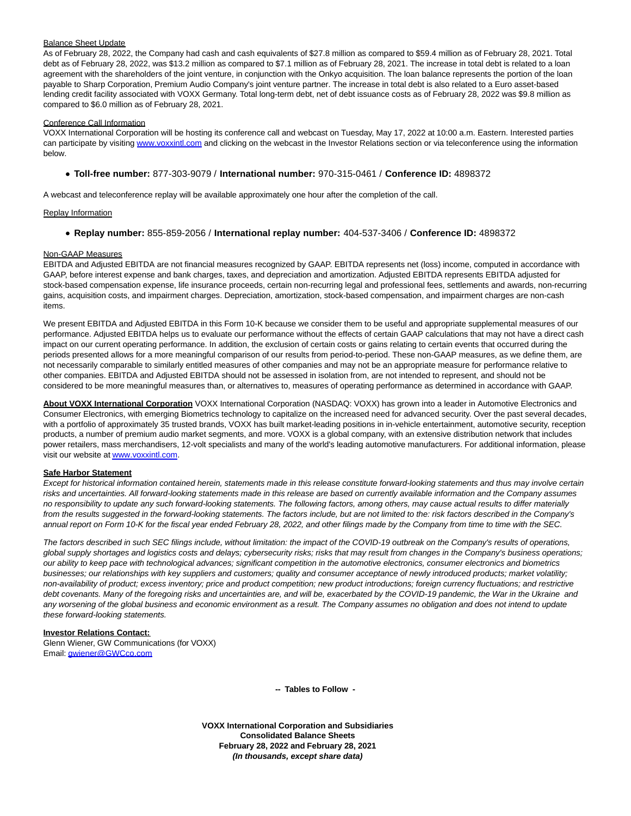#### Balance Sheet Update

As of February 28, 2022, the Company had cash and cash equivalents of \$27.8 million as compared to \$59.4 million as of February 28, 2021. Total debt as of February 28, 2022, was \$13.2 million as compared to \$7.1 million as of February 28, 2021. The increase in total debt is related to a loan agreement with the shareholders of the joint venture, in conjunction with the Onkyo acquisition. The loan balance represents the portion of the loan payable to Sharp Corporation, Premium Audio Company's joint venture partner. The increase in total debt is also related to a Euro asset-based lending credit facility associated with VOXX Germany. Total long-term debt, net of debt issuance costs as of February 28, 2022 was \$9.8 million as compared to \$6.0 million as of February 28, 2021.

#### Conference Call Information

VOXX International Corporation will be hosting its conference call and webcast on Tuesday, May 17, 2022 at 10:00 a.m. Eastern. Interested parties can participate by visiting [www.voxxintl.com a](https://c212.net/c/link/?t=0&l=en&o=3538577-1&h=554774788&u=http%3A%2F%2Fwww.voxxintl.com&a=www.voxxintl.com)nd clicking on the webcast in the Investor Relations section or via teleconference using the information below.

**Toll-free number:** 877-303-9079 / **International number:** 970-315-0461 / **Conference ID:** 4898372

A webcast and teleconference replay will be available approximately one hour after the completion of the call.

#### Replay Information

**Replay number:** 855-859-2056 / **International replay number:** 404-537-3406 / **Conference ID:** 4898372

#### Non-GAAP Measures

EBITDA and Adjusted EBITDA are not financial measures recognized by GAAP. EBITDA represents net (loss) income, computed in accordance with GAAP, before interest expense and bank charges, taxes, and depreciation and amortization. Adjusted EBITDA represents EBITDA adjusted for stock-based compensation expense, life insurance proceeds, certain non-recurring legal and professional fees, settlements and awards, non-recurring gains, acquisition costs, and impairment charges. Depreciation, amortization, stock-based compensation, and impairment charges are non-cash items.

We present EBITDA and Adjusted EBITDA in this Form 10-K because we consider them to be useful and appropriate supplemental measures of our performance. Adjusted EBITDA helps us to evaluate our performance without the effects of certain GAAP calculations that may not have a direct cash impact on our current operating performance. In addition, the exclusion of certain costs or gains relating to certain events that occurred during the periods presented allows for a more meaningful comparison of our results from period-to-period. These non-GAAP measures, as we define them, are not necessarily comparable to similarly entitled measures of other companies and may not be an appropriate measure for performance relative to other companies. EBITDA and Adjusted EBITDA should not be assessed in isolation from, are not intended to represent, and should not be considered to be more meaningful measures than, or alternatives to, measures of operating performance as determined in accordance with GAAP.

**About VOXX International Corporation** VOXX International Corporation (NASDAQ: VOXX) has grown into a leader in Automotive Electronics and Consumer Electronics, with emerging Biometrics technology to capitalize on the increased need for advanced security. Over the past several decades, with a portfolio of approximately 35 trusted brands, VOXX has built market-leading positions in in-vehicle entertainment, automotive security, reception products, a number of premium audio market segments, and more. VOXX is a global company, with an extensive distribution network that includes power retailers, mass merchandisers, 12-volt specialists and many of the world's leading automotive manufacturers. For additional information, please visit our website a[t www.voxxintl.com.](https://c212.net/c/link/?t=0&l=en&o=3538577-1&h=554774788&u=http%3A%2F%2Fwww.voxxintl.com&a=www.voxxintl.com)

## **Safe Harbor Statement**

Except for historical information contained herein, statements made in this release constitute forward-looking statements and thus may involve certain risks and uncertainties. All forward-looking statements made in this release are based on currently available information and the Company assumes no responsibility to update any such forward-looking statements. The following factors, among others, may cause actual results to differ materially from the results suggested in the forward-looking statements. The factors include, but are not limited to the: risk factors described in the Company's annual report on Form 10-K for the fiscal year ended February 28, 2022, and other filings made by the Company from time to time with the SEC.

The factors described in such SEC filings include, without limitation: the impact of the COVID-19 outbreak on the Company's results of operations, global supply shortages and logistics costs and delays; cybersecurity risks; risks that may result from changes in the Company's business operations; our ability to keep pace with technological advances; significant competition in the automotive electronics, consumer electronics and biometrics businesses; our relationships with key suppliers and customers; quality and consumer acceptance of newly introduced products; market volatility; non-availability of product; excess inventory; price and product competition; new product introductions; foreign currency fluctuations; and restrictive debt covenants. Many of the foregoing risks and uncertainties are, and will be, exacerbated by the COVID-19 pandemic, the War in the Ukraine and any worsening of the global business and economic environment as a result. The Company assumes no obligation and does not intend to update these forward-looking statements.

## **Investor Relations Contact:**

Glenn Wiener, GW Communications (for VOXX) Email[: gwiener@GWCco.com](mailto:gwiener@GWCco.com)

**-- Tables to Follow -**

**VOXX International Corporation and Subsidiaries Consolidated Balance Sheets February 28, 2022 and February 28, 2021 (In thousands, except share data)**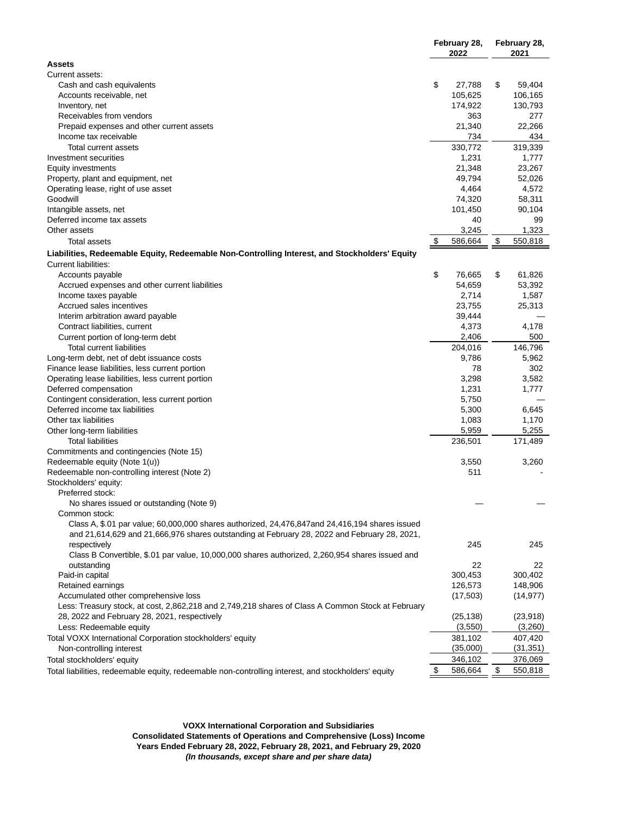|                                                                                                     | February 28,<br>2022 | February 28,<br>2021 |
|-----------------------------------------------------------------------------------------------------|----------------------|----------------------|
| <b>Assets</b>                                                                                       |                      |                      |
| Current assets:                                                                                     |                      |                      |
| Cash and cash equivalents                                                                           | \$<br>27,788         | \$<br>59,404         |
| Accounts receivable, net                                                                            | 105,625              | 106,165              |
| Inventory, net                                                                                      | 174,922              | 130,793              |
| Receivables from vendors                                                                            | 363                  | 277                  |
| Prepaid expenses and other current assets                                                           | 21,340               | 22,266               |
| Income tax receivable                                                                               | 734                  | 434                  |
| Total current assets                                                                                | 330,772              | 319,339              |
| Investment securities                                                                               | 1,231                | 1,777                |
| <b>Equity investments</b>                                                                           | 21,348               | 23.267               |
| Property, plant and equipment, net                                                                  | 49,794               | 52,026               |
| Operating lease, right of use asset                                                                 | 4,464                | 4,572                |
| Goodwill                                                                                            | 74,320               | 58,311               |
| Intangible assets, net                                                                              | 101,450              | 90,104               |
| Deferred income tax assets                                                                          | 40                   | 99                   |
| Other assets                                                                                        | 3,245                | 1,323                |
| <b>Total assets</b>                                                                                 | \$<br>586,664        | \$<br>550,818        |
| Liabilities, Redeemable Equity, Redeemable Non-Controlling Interest, and Stockholders' Equity       |                      |                      |
| <b>Current liabilities:</b>                                                                         |                      |                      |
| Accounts payable                                                                                    | \$<br>76,665         | \$<br>61,826         |
| Accrued expenses and other current liabilities                                                      | 54,659               | 53,392               |
| Income taxes payable                                                                                | 2,714                | 1,587                |
| Accrued sales incentives                                                                            | 23,755               | 25,313               |
| Interim arbitration award payable                                                                   | 39,444               |                      |
| Contract liabilities, current                                                                       | 4,373                | 4,178                |
| Current portion of long-term debt                                                                   | 2,406                | 500                  |
| <b>Total current liabilities</b>                                                                    | 204,016              | 146,796              |
| Long-term debt, net of debt issuance costs                                                          | 9,786                | 5,962                |
| Finance lease liabilities, less current portion                                                     | 78                   | 302                  |
| Operating lease liabilities, less current portion                                                   | 3,298                | 3,582                |
| Deferred compensation                                                                               | 1,231                | 1,777                |
| Contingent consideration, less current portion                                                      | 5,750                |                      |
| Deferred income tax liabilities<br>Other tax liabilities                                            | 5,300                | 6,645                |
|                                                                                                     | 1,083<br>5,959       | 1,170<br>5,255       |
| Other long-term liabilities<br><b>Total liabilities</b>                                             | 236,501              | 171,489              |
| Commitments and contingencies (Note 15)                                                             |                      |                      |
| Redeemable equity (Note 1(u))                                                                       | 3,550                | 3,260                |
| Redeemable non-controlling interest (Note 2)                                                        | 511                  |                      |
| Stockholders' equity:                                                                               |                      |                      |
| Preferred stock:                                                                                    |                      |                      |
| No shares issued or outstanding (Note 9)                                                            |                      |                      |
| Common stock:                                                                                       |                      |                      |
| Class A, \$.01 par value; 60,000,000 shares authorized, 24,476,847 and 24,416,194 shares issued     |                      |                      |
| and 21,614,629 and 21,666,976 shares outstanding at February 28, 2022 and February 28, 2021,        |                      |                      |
| respectively                                                                                        | 245                  | 245                  |
| Class B Convertible, \$.01 par value, 10,000,000 shares authorized, 2,260,954 shares issued and     |                      |                      |
| outstanding                                                                                         | 22                   | 22                   |
| Paid-in capital                                                                                     | 300,453              | 300,402              |
| Retained earnings                                                                                   | 126,573              | 148,906              |
| Accumulated other comprehensive loss                                                                | (17, 503)            | (14, 977)            |
| Less: Treasury stock, at cost, 2,862,218 and 2,749,218 shares of Class A Common Stock at February   |                      |                      |
| 28, 2022 and February 28, 2021, respectively                                                        | (25, 138)            | (23, 918)            |
| Less: Redeemable equity                                                                             | (3,550)              | (3,260)              |
| Total VOXX International Corporation stockholders' equity                                           | 381,102              | 407,420              |
| Non-controlling interest                                                                            | (35,000)             | (31, 351)            |
| Total stockholders' equity                                                                          | 346,102              | 376,069              |
| Total liabilities, redeemable equity, redeemable non-controlling interest, and stockholders' equity | \$<br>586,664        | \$<br>550,818        |

**VOXX International Corporation and Subsidiaries Consolidated Statements of Operations and Comprehensive (Loss) Income Years Ended February 28, 2022, February 28, 2021, and February 29, 2020 (In thousands, except share and per share data)**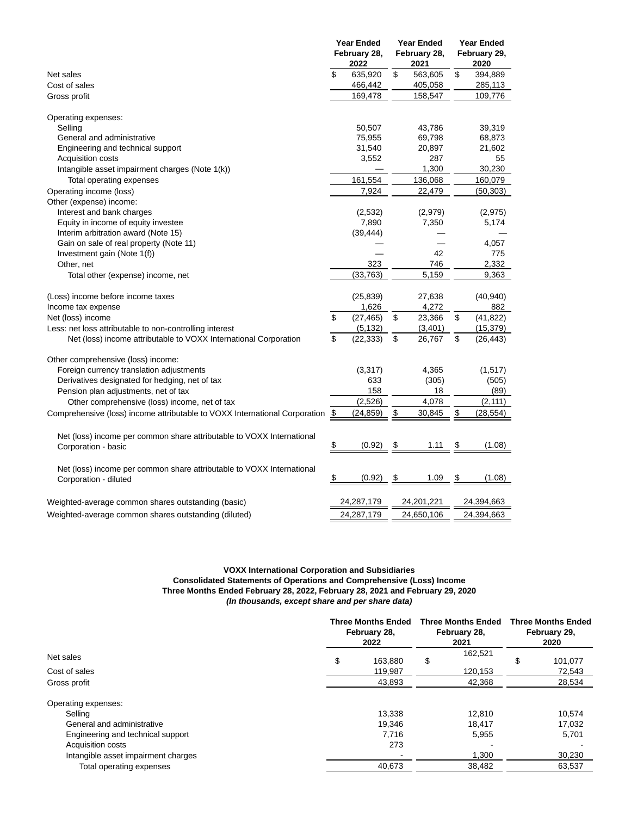|                                                                               | <b>Year Ended</b><br>February 28, |                    | <b>Year Ended</b><br>February 28, |            |               | <b>Year Ended</b><br>February 29, |
|-------------------------------------------------------------------------------|-----------------------------------|--------------------|-----------------------------------|------------|---------------|-----------------------------------|
|                                                                               |                                   | 2022               |                                   | 2021       |               | 2020                              |
| Net sales                                                                     | \$                                | 635,920<br>466,442 | \$                                | 563,605    | \$            | 394,889                           |
| Cost of sales                                                                 |                                   |                    |                                   | 405,058    |               | 285,113                           |
| Gross profit                                                                  |                                   | 169,478            |                                   | 158,547    |               | 109,776                           |
| Operating expenses:                                                           |                                   |                    |                                   |            |               |                                   |
| Selling                                                                       |                                   | 50,507             |                                   | 43,786     |               | 39,319                            |
| General and administrative                                                    |                                   | 75,955             |                                   | 69,798     |               | 68,873                            |
| Engineering and technical support                                             |                                   | 31,540             |                                   | 20,897     |               | 21,602                            |
| Acquisition costs                                                             |                                   | 3,552              |                                   | 287        |               | 55                                |
| Intangible asset impairment charges (Note 1(k))                               |                                   |                    |                                   | 1,300      |               | 30,230                            |
| Total operating expenses                                                      |                                   | 161,554            |                                   | 136,068    |               | 160,079                           |
| Operating income (loss)                                                       |                                   | 7,924              |                                   | 22,479     |               | (50, 303)                         |
| Other (expense) income:                                                       |                                   |                    |                                   |            |               |                                   |
| Interest and bank charges                                                     |                                   | (2,532)            |                                   | (2,979)    |               | (2, 975)                          |
| Equity in income of equity investee                                           |                                   | 7,890              |                                   | 7,350      |               | 5,174                             |
| Interim arbitration award (Note 15)                                           |                                   | (39, 444)          |                                   |            |               |                                   |
| Gain on sale of real property (Note 11)                                       |                                   |                    |                                   |            |               | 4,057                             |
| Investment gain (Note 1(f))                                                   |                                   |                    |                                   | 42         |               | 775                               |
| Other, net                                                                    |                                   | 323                |                                   | 746        |               | 2,332                             |
| Total other (expense) income, net                                             |                                   | (33, 763)          |                                   | 5,159      |               | 9,363                             |
| (Loss) income before income taxes                                             |                                   | (25, 839)          |                                   | 27,638     |               | (40, 940)                         |
| Income tax expense                                                            |                                   | 1,626              |                                   | 4,272      |               | 882                               |
| Net (loss) income                                                             | \$                                | (27, 465)          | \$                                | 23,366     | \$            | (41, 822)                         |
| Less: net loss attributable to non-controlling interest                       |                                   | (5, 132)           |                                   | (3,401)    |               | (15, 379)                         |
| Net (loss) income attributable to VOXX International Corporation              | \$                                | (22, 333)          | \$                                | 26,767     | \$            | (26, 443)                         |
| Other comprehensive (loss) income:                                            |                                   |                    |                                   |            |               |                                   |
| Foreign currency translation adjustments                                      |                                   | (3, 317)           |                                   | 4,365      |               | (1, 517)                          |
| Derivatives designated for hedging, net of tax                                |                                   | 633                |                                   | (305)      |               | (505)                             |
| Pension plan adjustments, net of tax                                          |                                   | 158                |                                   | 18         |               | (89)                              |
| Other comprehensive (loss) income, net of tax                                 |                                   | (2,526)            |                                   | 4,078      |               | (2, 111)                          |
| Comprehensive (loss) income attributable to VOXX International Corporation \$ |                                   | (24, 859)          | \$                                | 30,845     | \$            | (28,554)                          |
| Net (loss) income per common share attributable to VOXX International         |                                   |                    |                                   |            |               |                                   |
| Corporation - basic                                                           | \$                                | (0.92)             | $\frac{3}{2}$                     | 1.11       | \$            | (1.08)                            |
|                                                                               |                                   |                    |                                   |            |               |                                   |
| Net (loss) income per common share attributable to VOXX International         |                                   |                    |                                   |            |               |                                   |
| Corporation - diluted                                                         | \$                                | (0.92)             | $\frac{3}{2}$                     | 1.09       | $\frac{1}{2}$ | (1.08)                            |
| Weighted-average common shares outstanding (basic)                            |                                   | 24,287,179         |                                   | 24,201,221 |               | 24,394,663                        |
| Weighted-average common shares outstanding (diluted)                          |                                   | 24,287,179         |                                   | 24,650,106 |               | 24,394,663                        |
|                                                                               |                                   |                    |                                   |            |               |                                   |

# **VOXX International Corporation and Subsidiaries Consolidated Statements of Operations and Comprehensive (Loss) Income Three Months Ended February 28, 2022, February 28, 2021 and February 29, 2020 (In thousands, except share and per share data)**

|                                     | <b>Three Months Ended</b><br>February 28,<br>2022 |        | <b>Three Months Ended</b><br>February 28,<br>2021 | <b>Three Months Ended</b><br>February 29,<br>2020 |         |
|-------------------------------------|---------------------------------------------------|--------|---------------------------------------------------|---------------------------------------------------|---------|
| Net sales                           | \$<br>163.880                                     |        | 162,521<br>\$                                     | \$                                                | 101,077 |
| Cost of sales                       | 119,987                                           |        | 120,153                                           |                                                   | 72,543  |
| Gross profit                        | 43,893                                            |        | 42,368                                            |                                                   | 28,534  |
| Operating expenses:                 |                                                   |        |                                                   |                                                   |         |
| Selling                             |                                                   | 13.338 | 12.810                                            |                                                   | 10.574  |
| General and administrative          |                                                   | 19,346 | 18,417                                            |                                                   | 17,032  |
| Engineering and technical support   |                                                   | 7.716  | 5,955                                             |                                                   | 5,701   |
| <b>Acquisition costs</b>            |                                                   | 273    |                                                   |                                                   |         |
| Intangible asset impairment charges |                                                   |        | 1.300                                             |                                                   | 30,230  |
| Total operating expenses            | 40.673                                            |        | 38.482                                            |                                                   | 63.537  |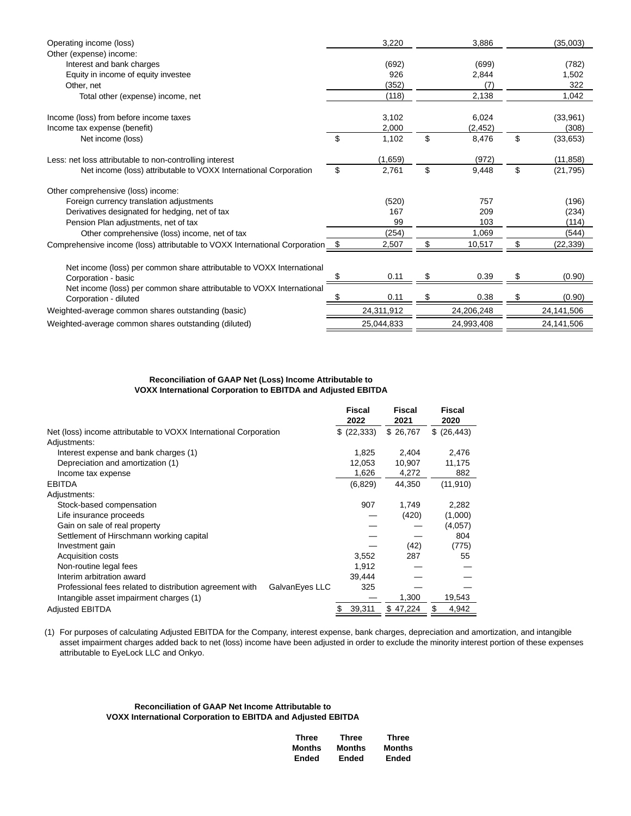| Operating income (loss)                                                              | 3,220       | 3,886        | (35,003)        |
|--------------------------------------------------------------------------------------|-------------|--------------|-----------------|
| Other (expense) income:                                                              |             |              |                 |
| Interest and bank charges                                                            | (692)       | (699)        | (782)           |
| Equity in income of equity investee                                                  | 926         | 2,844        | 1,502           |
| Other, net                                                                           | (352)       | (7)          | 322             |
| Total other (expense) income, net                                                    | (118)       | 2,138        | 1,042           |
| Income (loss) from before income taxes                                               | 3,102       | 6,024        | (33,961)        |
| Income tax expense (benefit)                                                         | 2,000       | (2, 452)     | (308)           |
| Net income (loss)                                                                    | \$<br>1,102 | \$<br>8,476  | \$<br>(33,653)  |
| Less: net loss attributable to non-controlling interest                              | (1,659)     | (972)        | (11, 858)       |
| Net income (loss) attributable to VOXX International Corporation                     | \$<br>2,761 | \$<br>9,448  | \$<br>(21, 795) |
| Other comprehensive (loss) income:                                                   |             |              |                 |
| Foreign currency translation adjustments                                             | (520)       | 757          | (196)           |
| Derivatives designated for hedging, net of tax                                       | 167         | 209          | (234)           |
| Pension Plan adjustments, net of tax                                                 | 99          | 103          | (114)           |
| Other comprehensive (loss) income, net of tax                                        | (254)       | 1,069        | (544)           |
| Comprehensive income (loss) attributable to VOXX International Corporation <u>\$</u> | 2,507       | \$<br>10,517 | \$<br>(22,339)  |
| Net income (loss) per common share attributable to VOXX International                |             |              |                 |
| Corporation - basic                                                                  | 0.11        | 0.39         | (0.90)          |
| Net income (loss) per common share attributable to VOXX International                | 0.11        | \$<br>0.38   | \$<br>(0.90)    |
| Corporation - diluted                                                                |             |              |                 |
| Weighted-average common shares outstanding (basic)                                   | 24,311,912  | 24,206,248   | 24,141,506      |
| Weighted-average common shares outstanding (diluted)                                 | 25,044,833  | 24,993,408   | 24,141,506      |

# **Reconciliation of GAAP Net (Loss) Income Attributable to VOXX International Corporation to EBITDA and Adjusted EBITDA**

|                                                                  |                 | <b>Fiscal</b><br>2022 | <b>Fiscal</b><br>2021 | Fiscal<br>2020 |
|------------------------------------------------------------------|-----------------|-----------------------|-----------------------|----------------|
| Net (loss) income attributable to VOXX International Corporation |                 | (22, 333)             | \$26,767              | \$ (26, 443)   |
| Adjustments:                                                     |                 |                       |                       |                |
| Interest expense and bank charges (1)                            |                 | 1,825                 | 2,404                 | 2,476          |
| Depreciation and amortization (1)                                |                 | 12,053                | 10,907                | 11,175         |
| Income tax expense                                               |                 | 1,626                 | 4,272                 | 882            |
| <b>EBITDA</b>                                                    |                 | (6,829)               | 44,350                | (11, 910)      |
| Adjustments:                                                     |                 |                       |                       |                |
| Stock-based compensation                                         |                 | 907                   | 1,749                 | 2,282          |
| Life insurance proceeds                                          |                 |                       | (420)                 | (1,000)        |
| Gain on sale of real property                                    |                 |                       |                       | (4,057)        |
| Settlement of Hirschmann working capital                         |                 |                       |                       | 804            |
| Investment gain                                                  |                 |                       | (42)                  | (775)          |
| <b>Acquisition costs</b>                                         |                 | 3,552                 | 287                   | 55             |
| Non-routine legal fees                                           |                 | 1,912                 |                       |                |
| Interim arbitration award                                        |                 | 39,444                |                       |                |
| Professional fees related to distribution agreement with         | Galvan Eyes LLC | 325                   |                       |                |
| Intangible asset impairment charges (1)                          |                 |                       | 1,300                 | 19,543         |
| <b>Adjusted EBITDA</b>                                           |                 | 39,311<br>\$          | \$47,224              | \$<br>4,942    |

(1) For purposes of calculating Adjusted EBITDA for the Company, interest expense, bank charges, depreciation and amortization, and intangible asset impairment charges added back to net (loss) income have been adjusted in order to exclude the minority interest portion of these expenses attributable to EyeLock LLC and Onkyo.

# **Reconciliation of GAAP Net Income Attributable to VOXX International Corporation to EBITDA and Adjusted EBITDA**

| <b>Three</b>  | <b>Three</b>  | <b>Three</b> |
|---------------|---------------|--------------|
| <b>Months</b> | <b>Months</b> | Months       |
| Ended         | Ended         | Ended        |